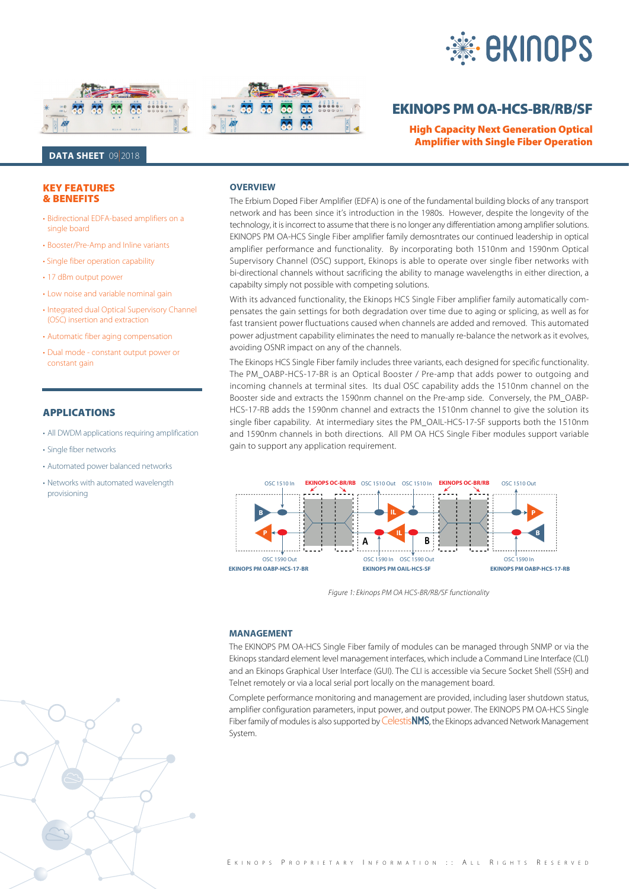





# **EKINOPS PM OA-HCS-BR/RB/SF**

**High Capacity Next Generation Optical Amplifier with Single Fiber Operation Amplifier with Single Fiber Operation**

## **DATA SHEET** 09|2018

#### **KEY FEATURES** *<u>& BENEFITS</u>*

- Bidirectional EDFA-based amplifiers on a single board
- Booster/Pre-Amp and Inline variants
- Single fiber operation capability
- 17 dBm output power
- Low noise and variable nominal gain
- Integrated dual Optical Supervisory Channel (OSC) insertion and extraction
- Automatic fiber aging compensation
- Dual mode constant output power or constant gain

## **APPLICATIONS**

- All DWDM applications requiring amplification
- Single fiber networks
- Automated power balanced networks
- Networks with automated wavelength provisioning

#### **OVERVIEW**

The Erbium Doped Fiber Amplifier (EDFA) is one of the fundamental building blocks of any transport network and has been since it's introduction in the 1980s. However, despite the longevity of the technology, it is incorrect to assume that there is no longer any differentiation among amplifier solutions. EKINOPS PM OA-HCS Single Fiber amplifier family demosntrates our continued leadership in optical amplifier performance and functionality. By incorporating both 1510nm and 1590nm Optical Supervisory Channel (OSC) support, Ekinops is able to operate over single fiber networks with bi-directional channels without sacrificing the ability to manage wavelengths in either direction, a capabilty simply not possible with competing solutions.

With its advanced functionality, the Ekinops HCS Single Fiber amplifier family automatically compensates the gain settings for both degradation over time due to aging or splicing, as well as for fast transient power fluctuations caused when channels are added and removed. This automated power adjustment capability eliminates the need to manually re-balance the network as it evolves, avoiding OSNR impact on any of the channels.

The Ekinops HCS Single Fiber family includes three variants, each designed for specific functionality. The PM\_OABP-HCS-17-BR is an Optical Booster / Pre-amp that adds power to outgoing and incoming channels at terminal sites. Its dual OSC capability adds the 1510nm channel on the Booster side and extracts the 1590nm channel on the Pre-amp side. Conversely, the PM\_OABP-HCS-17-RB adds the 1590nm channel and extracts the 1510nm channel to give the solution its single fiber capability. At intermediary sites the PM\_OAIL-HCS-17-SF supports both the 1510nm and 1590nm channels in both directions. All PM OA HCS Single Fiber modules support variable gain to support any application requirement.



Figure 1: Ekinops PM OA HCS-BR/RB/SF functionality

#### **MANAGEMENT**

The EKINOPS PM OA-HCS Single Fiber family of modules can be managed through SNMP or via the Ekinops standard element level management interfaces, which include a Command Line Interface (CLI) and an Ekinops Graphical User Interface (GUI). The CLI is accessible via Secure Socket Shell (SSH) and Telnet remotely or via a local serial port locally on the management board.

Complete performance monitoring and management are provided, including laser shutdown status, amplifier configuration parameters, input power, and output power. The EKINOPS PM OA-HCS Single Fiber family of modules is also supported by Celestis**NMS**, the Ekinops advanced Network Management System.